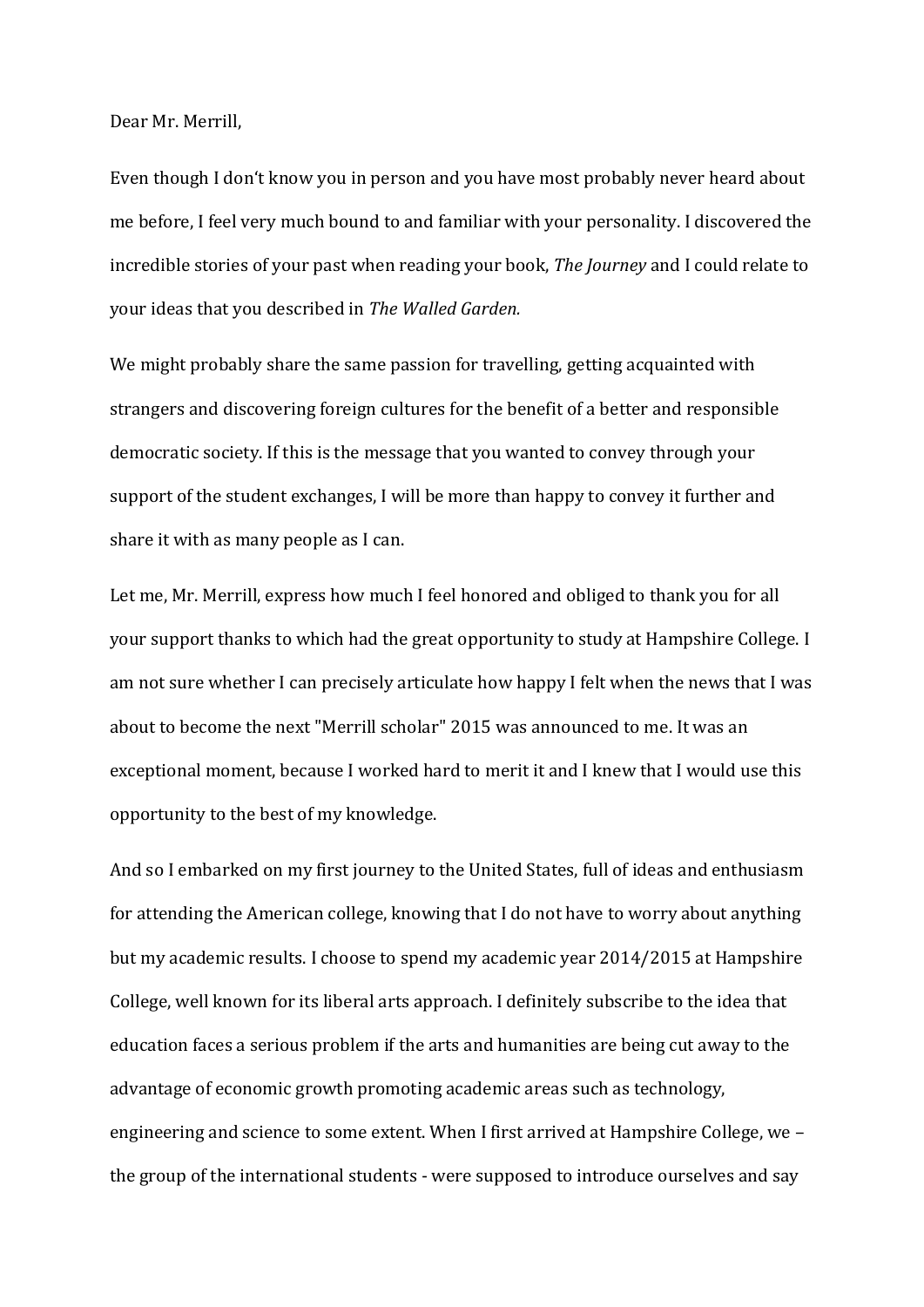Dear Mr. Merrill,

Even though I don't know you in person and you have most probably never heard about me before, I feel very much bound to and familiar with your personality. I discovered the incredible stories of your past when reading your book, *The Journey* and I could relate to your ideas that you described in *The Walled Garden.*

We might probably share the same passion for travelling, getting acquainted with strangers and discovering foreign cultures for the benefit of a better and responsible democratic society. If this is the message that you wanted to convey through your support of the student exchanges, I will be more than happy to convey it further and share it with as many people as I can.

Let me, Mr. Merrill, express how much I feel honored and obliged to thank you for all your support thanks to which had the great opportunity to study at Hampshire College. I am not sure whether I can precisely articulate how happy I felt when the news that I was about to become the next "Merrill scholar" 2015 was announced to me. It was an exceptional moment, because I worked hard to merit it and I knew that I would use this opportunity to the best of my knowledge.

And so I embarked on my first journey to the United States, full of ideas and enthusiasm for attending the American college, knowing that I do not have to worry about anything but my academic results. I choose to spend my academic year 2014/2015 at Hampshire College, well known for its liberal arts approach. I definitely subscribe to the idea that education faces a serious problem if the arts and humanities are being cut away to the advantage of economic growth promoting academic areas such as technology, engineering and science to some extent. When I first arrived at Hampshire College, we – the group of the international students - were supposed to introduce ourselves and say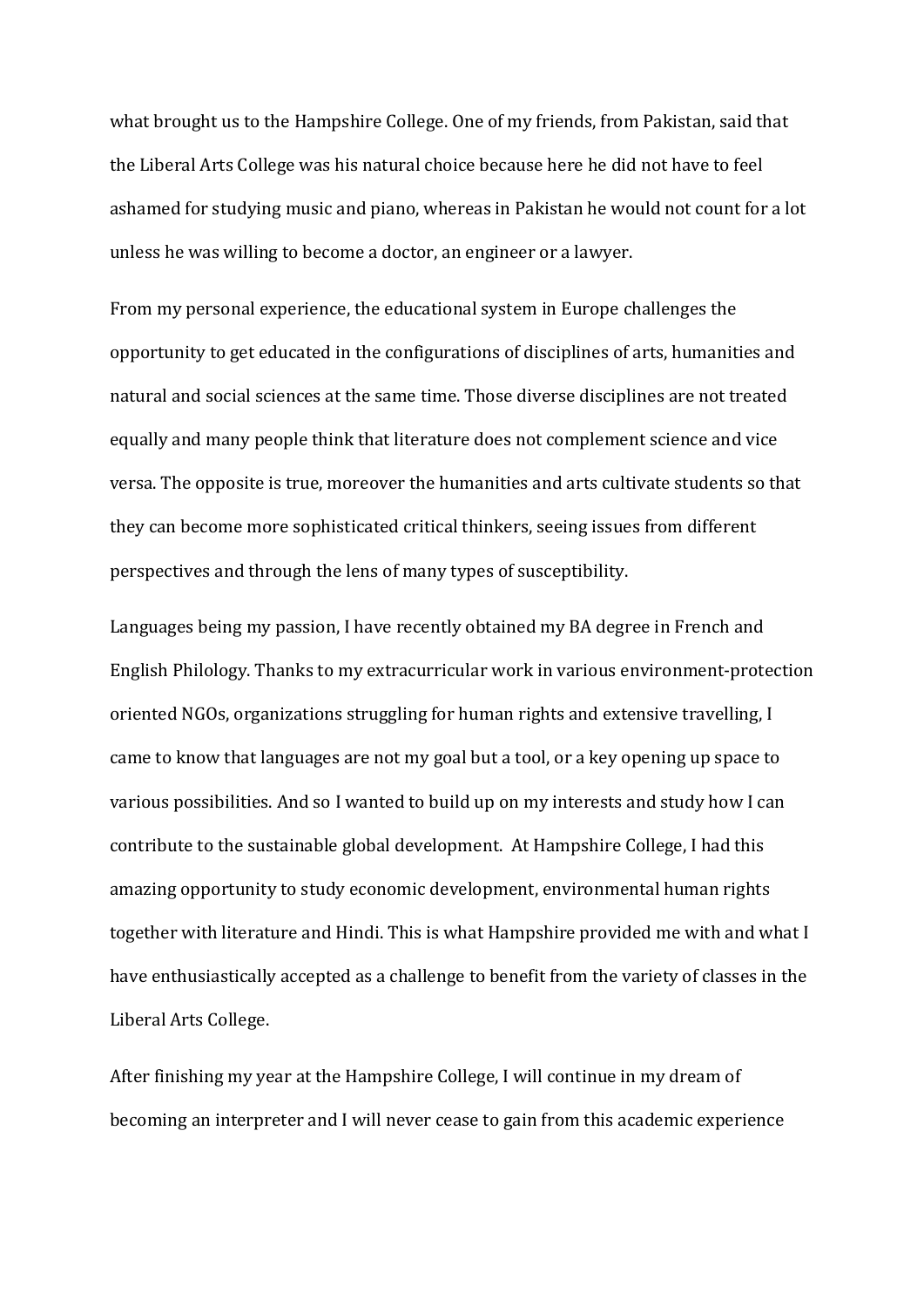what brought us to the Hampshire College. One of my friends, from Pakistan, said that the Liberal Arts College was his natural choice because here he did not have to feel ashamed for studying music and piano, whereas in Pakistan he would not count for a lot unless he was willing to become a doctor, an engineer or a lawyer.

From my personal experience, the educational system in Europe challenges the opportunity to get educated in the configurations of disciplines of arts, humanities and natural and social sciences at the same time. Those diverse disciplines are not treated equally and many people think that literature does not complement science and vice versa. The opposite is true, moreover the humanities and arts cultivate students so that they can become more sophisticated critical thinkers, seeing issues from different perspectives and through the lens of many types of susceptibility.

Languages being my passion, I have recently obtained my BA degree in French and English Philology. Thanks to my extracurricular work in various environment-protection oriented NGOs, organizations struggling for human rights and extensive travelling, I came to know that languages are not my goal but a tool, or a key opening up space to various possibilities. And so I wanted to build up on my interests and study how I can contribute to the sustainable global development. At Hampshire College, I had this amazing opportunity to study economic development, environmental human rights together with literature and Hindi. This is what Hampshire provided me with and what I have enthusiastically accepted as a challenge to benefit from the variety of classes in the Liberal Arts College.

After finishing my year at the Hampshire College, I will continue in my dream of becoming an interpreter and I will never cease to gain from this academic experience